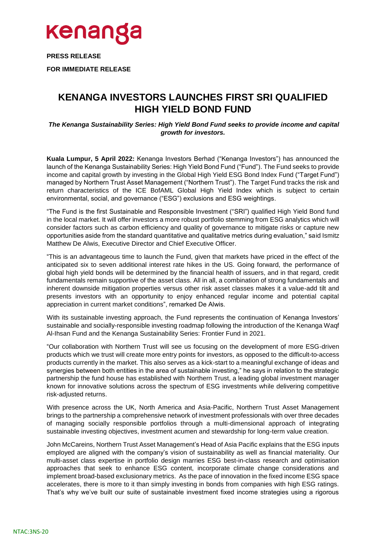

**PRESS RELEASE**

**FOR IMMEDIATE RELEASE**

## **KENANGA INVESTORS LAUNCHES FIRST SRI QUALIFIED HIGH YIELD BOND FUND**

*The Kenanga Sustainability Series: High Yield Bond Fund seeks to provide income and capital growth for investors.*

**Kuala Lumpur, 5 April 2022:** Kenanga Investors Berhad ("Kenanga Investors") has announced the launch of the Kenanga Sustainability Series: High Yield Bond Fund ("Fund"). The Fund seeks to provide income and capital growth by investing in the Global High Yield ESG Bond Index Fund ("Target Fund") managed by Northern Trust Asset Management ("Northern Trust"). The Target Fund tracks the risk and return characteristics of the ICE BofAML Global High Yield Index which is subject to certain environmental, social, and governance ("ESG") exclusions and ESG weightings.

"The Fund is the first Sustainable and Responsible Investment ("SRI") qualified High Yield Bond fund in the local market. It will offer investors a more robust portfolio stemming from ESG analytics which will consider factors such as carbon efficiency and quality of governance to mitigate risks or capture new opportunities aside from the standard quantitative and qualitative metrics during evaluation," said Ismitz Matthew De Alwis, Executive Director and Chief Executive Officer.

"This is an advantageous time to launch the Fund, given that markets have priced in the effect of the anticipated six to seven additional interest rate hikes in the US. Going forward, the performance of global high yield bonds will be determined by the financial health of issuers, and in that regard, credit fundamentals remain supportive of the asset class. All in all, a combination of strong fundamentals and inherent downside mitigation properties versus other risk asset classes makes it a value-add tilt and presents investors with an opportunity to enjoy enhanced regular income and potential capital appreciation in current market conditions", remarked De Alwis.

With its sustainable investing approach, the Fund represents the continuation of Kenanga Investors' sustainable and socially-responsible investing roadmap following the introduction of the Kenanga Waqf Al-Ihsan Fund and the Kenanga Sustainability Series: Frontier Fund in 2021.

"Our collaboration with Northern Trust will see us focusing on the development of more ESG-driven products which we trust will create more entry points for investors, as opposed to the difficult-to-access products currently in the market. This also serves as a kick-start to a meaningful exchange of ideas and synergies between both entities in the area of sustainable investing," he says in relation to the strategic partnership the fund house has established with Northern Trust, a leading global investment manager known for innovative solutions across the spectrum of ESG investments while delivering competitive risk-adjusted returns.

With presence across the UK, North America and Asia-Pacific, Northern Trust Asset Management brings to the partnership a comprehensive network of investment professionals with over three decades of managing socially responsible portfolios through a multi-dimensional approach of integrating sustainable investing objectives, investment acumen and stewardship for long-term value creation.

John McCareins, Northern Trust Asset Management's Head of Asia Pacific explains that the ESG inputs employed are aligned with the company's vision of sustainability as well as financial materiality. Our multi-asset class expertise in portfolio design marries ESG best-in-class research and optimisation approaches that seek to enhance ESG content, incorporate climate change considerations and implement broad-based exclusionary metrics. As the pace of innovation in the fixed income ESG space accelerates, there is more to it than simply investing in bonds from companies with high ESG ratings. That's why we've built our suite of sustainable investment fixed income strategies using a rigorous